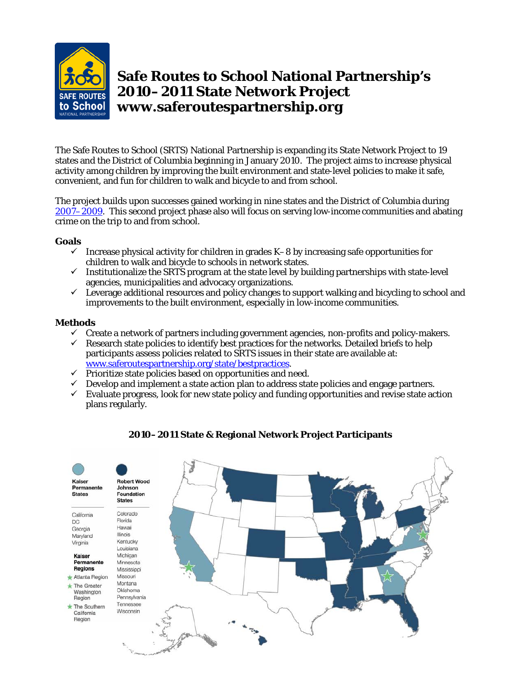

# **Safe Routes to School National Partnership's 2010–2011 State Network Project www.saferoutespartnership.org**

The Safe Routes to School (SRTS) National Partnership is expanding its State Network Project to 19 states and the District of Columbia beginning in January 2010. The project aims to increase physical activity among children by improving the built environment and state-level policies to make it safe, convenient, and fun for children to walk and bicycle to and from school.

The project builds upon successes gained working in nine states and the District of Columbia during [2007–2009.](http://www.saferoutespartnership.org/media/file/SRTS_FinalStateNetworkReport_Nov09.pdf) This second project phase also will focus on serving low-income communities and abating crime on the trip to and from school.

## **Goals**

- $\checkmark$  Increase physical activity for children in grades K-8 by increasing safe opportunities for children to walk and bicycle to schools in network states.
- $\checkmark$  Institutionalize the SRTS program at the state level by building partnerships with state-level agencies, municipalities and advocacy organizations.
- $\checkmark$  Leverage additional resources and policy changes to support walking and bicycling to school and improvements to the built environment, especially in low-income communities.

## **Methods**

- $\checkmark$  Create a network of partners including government agencies, non-profits and policy-makers.
- $\checkmark$  Research state policies to identify best practices for the networks. Detailed briefs to help participants assess policies related to SRTS issues in their state are available at: [www.saferoutespartnership.org/state/bestpractices.](http://www.saferoutespartnership.org/state/bestpractices)
- $\checkmark$  Prioritize state policies based on opportunities and need.
- $\checkmark$  Develop and implement a state action plan to address state policies and engage partners.
- $\checkmark$  Evaluate progress, look for new state policy and funding opportunities and revise state action plans regularly.



## **2010–2011 State & Regional Network Project Participants**